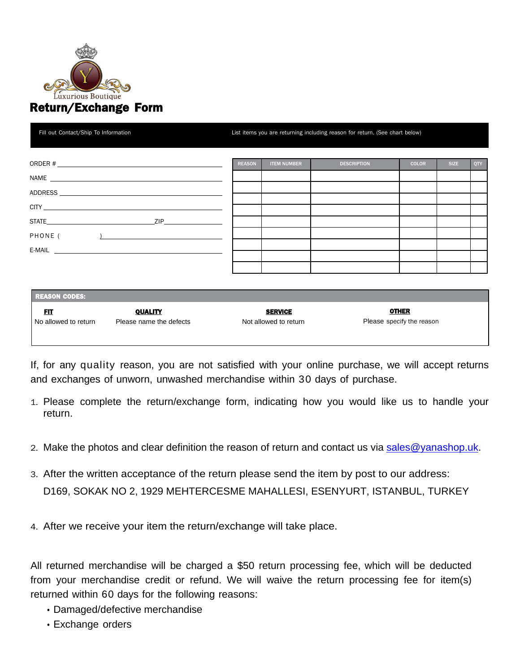

| Fill out Contact/Ship To Information                                                                                                                                                                                                         |               |                    | List items you are returning including reason for return. (See chart below) |              |             |     |  |  |  |
|----------------------------------------------------------------------------------------------------------------------------------------------------------------------------------------------------------------------------------------------|---------------|--------------------|-----------------------------------------------------------------------------|--------------|-------------|-----|--|--|--|
|                                                                                                                                                                                                                                              | <b>REASON</b> | <b>ITEM NUMBER</b> | <b>DESCRIPTION</b>                                                          | <b>COLOR</b> | <b>SIZE</b> | QTY |  |  |  |
|                                                                                                                                                                                                                                              |               |                    |                                                                             |              |             |     |  |  |  |
|                                                                                                                                                                                                                                              |               |                    |                                                                             |              |             |     |  |  |  |
|                                                                                                                                                                                                                                              |               |                    |                                                                             |              |             |     |  |  |  |
|                                                                                                                                                                                                                                              |               |                    |                                                                             |              |             |     |  |  |  |
| $\frac{1}{2}$ . The contract of the contract of the contract of the contract of the contract of the contract of the contract of the contract of the contract of the contract of the contract of the contract of the contract of t<br>PHONE ( |               |                    |                                                                             |              |             |     |  |  |  |
| E-MAIL <b>E-MAIL</b>                                                                                                                                                                                                                         |               |                    |                                                                             |              |             |     |  |  |  |
|                                                                                                                                                                                                                                              |               |                    |                                                                             |              |             |     |  |  |  |
|                                                                                                                                                                                                                                              |               |                    |                                                                             |              |             |     |  |  |  |

| <b>REASON CODES:</b> |                         |                       |                           |  |  |  |
|----------------------|-------------------------|-----------------------|---------------------------|--|--|--|
| <u>FIT</u>           | <b>QUALITY</b>          | <b>SERVICE</b>        | <b>OTHER</b>              |  |  |  |
| No allowed to return | Please name the defects | Not allowed to return | Please specify the reason |  |  |  |
|                      |                         |                       |                           |  |  |  |

If, for any quality reason, you are not satisfied with your online purchase, we will accept returns and exchanges of unworn, unwashed merchandise within 30 days of purchase.

- 1. Please complete the return/exchange form, indicating how you would like us to handle your return.
- 2. Make the photos and clear definition the reason of return and contact us via [sales@yanashop.uk.](mailto:sales@yanashop.uk)
- 3. After the written acceptance of the return please send the item by post to our address: D169, SOKAK NO 2, 1929 MEHTERCESME MAHALLESI, ESENYURT, ISTANBUL, TURKEY
- 4. After we receive your item the return/exchange will take place.

All returned merchandise will be charged a \$50 return processing fee, which will be deducted from your merchandise credit or refund. We will waive the return processing fee for item(s) returned within 60 days for the following reasons:

- Damaged/defective merchandise
- Exchange orders